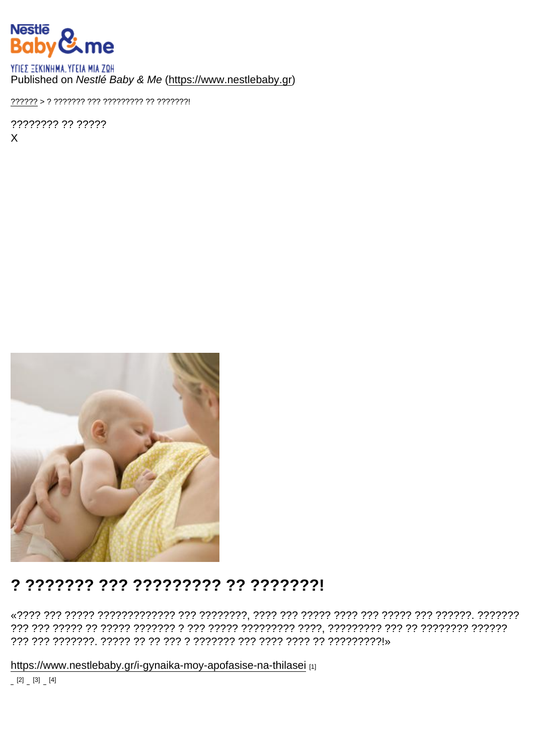### Published on Nestlé Baby & Me (https://www.nestlebaby.gr)

???????? ?? ?????  $\mathsf{X}$ 

## ? ??????? ??? ????????? ?? ???????!

https://www.nestlebaby.gr/i-gynaika-moy-apofasise-na-thilasei [1]

 $[2] \quad [3] \quad [4]$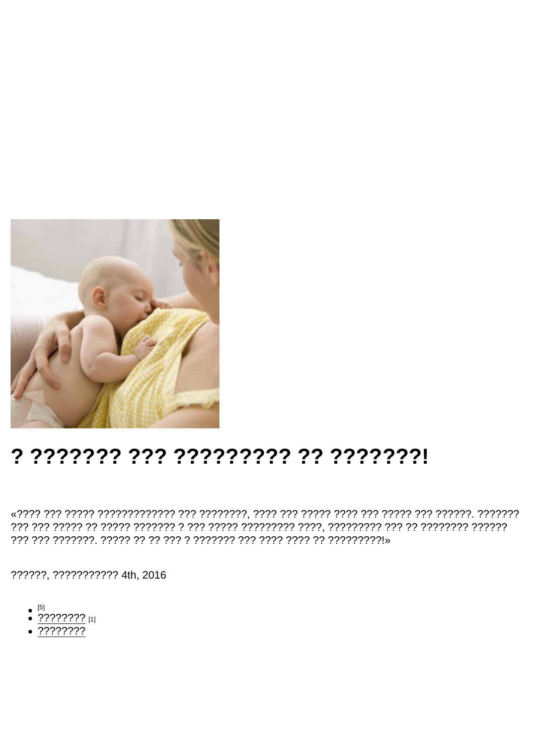# ? ??????? ??? ????????? ?? ???????!

??????, ??????????? 4th, 2016

- 
- $^{[5]}$ <br>• ???????? [1]
- $.77777777$